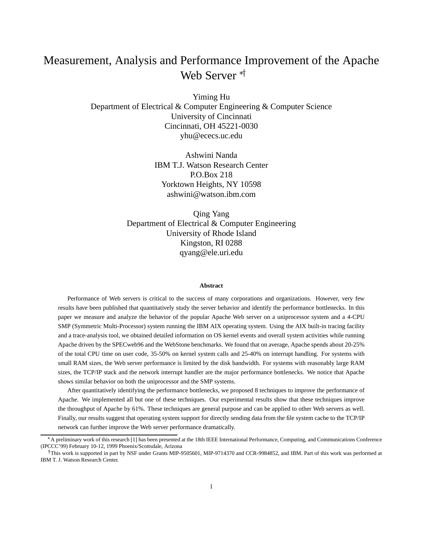# Measurement, Analysis and Performance Improvement of the Apache Web Server  $*$

Yiming Hu Department of Electrical & Computer Engineering & Computer Science University of Cincinnati Cincinnati, OH 45221-0030 yhu@ececs.uc.edu

> Ashwini Nanda IBM T.J. Watson Research Center P.O.Box 218 Yorktown Heights, NY 10598 ashwini@watson.ibm.com

Qing Yang Department of Electrical & Computer Engineering University of Rhode Island Kingston, RI 0288 qyang@ele.uri.edu

#### **Abstract**

Performance of Web servers is critical to the success of many corporations and organizations. However, very few results have been published that quantitatively study the server behavior and identify the performance bottlenecks. In this paper we measure and analyze the behavior of the popular Apache Web server on a uniprocessor system and a 4-CPU SMP (Symmetric Multi-Processor) system running the IBM AIX operating system. Using the AIX built-in tracing facility and a trace-analysis tool, we obtained detailed information on OS kernel events and overall system activities while running Apache driven by the SPECweb96 and the WebStone benchmarks. We found that on average, Apache spends about 20-25% of the total CPU time on user code, 35-50% on kernel system calls and 25-40% on interrupt handling. For systems with small RAM sizes, the Web server performance is limited by the disk bandwidth. For systems with reasonably large RAM sizes, the TCP/IP stack and the network interrupt handler are the major performance bottlenecks. We notice that Apache shows similar behavior on both the uniprocessor and the SMP systems.

After quantitatively identifying the performance bottlenecks, we proposed 8 techniques to improve the performance of Apache. We implemented all but one of these techniques. Our experimental results show that these techniques improve the throughput of Apache by 61%. These techniques are general purpose and can be applied to other Web servers as well. Finally, our results suggest that operating system support for directly sending data from the file system cache to the TCP/IP network can further improve the Web server performance dramatically.

A preliminary work of this research [1] has been presented at the 18th IEEE International Performance, Computing, and Communications Conference (IPCCC'99) February 10-12, 1999 Phoenix/Scottsdale, Arizona

This work is supported in part by NSF under Grants MIP-9505601, MIP-9714370 and CCR-9984852, and IBM. Part of this work was performed at IBM T. J. Watson Research Center.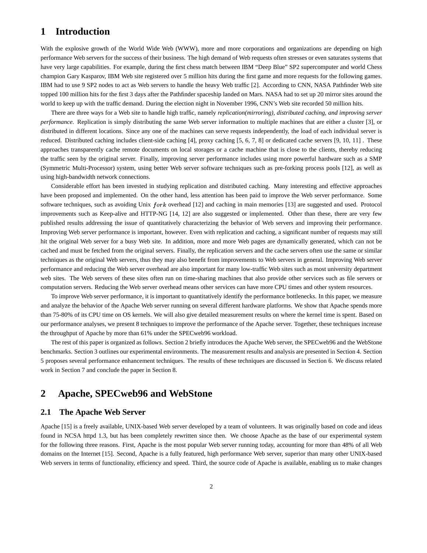## **1 Introduction**

With the explosive growth of the World Wide Web (WWW), more and more corporations and organizations are depending on high performance Web servers for the success of their business. The high demand of Web requests often stresses or even saturates systems that have very large capabilities. For example, during the first chess match between IBM "Deep Blue" SP2 supercomputer and world Chess champion Gary Kasparov, IBM Web site registered over 5 million hits during the first game and more requests for the following games. IBM had to use 9 SP2 nodes to act as Web servers to handle the heavy Web traffic [2]. According to CNN, NASA Pathfinder Web site topped 100 million hits for the first 3 days after the Pathfinder spaceship landed on Mars. NASA had to set up 20 mirror sites around the world to keep up with the traffic demand. During the election night in November 1996, CNN's Web site recorded 50 million hits.

There are three ways for a Web site to handle high traffic, namely *replication(mirroring), distributed caching, and improving server performance*. Replication is simply distributing the same Web server information to multiple machines that are either a cluster [3], or distributed in different locations. Since any one of the machines can serve requests independently, the load of each individual server is reduced. Distributed caching includes client-side caching [4], proxy caching [5, 6, 7, 8] or dedicated cache servers [9, 10, 11] . These approaches transparently cache remote documents on local storages or a cache machine that is close to the clients, thereby reducing the traffic seen by the original server. Finally, improving server performance includes using more powerful hardware such as a SMP (Symmetric Multi-Processor) system, using better Web server software techniques such as pre-forking process pools [12], as well as using high-bandwidth network connections.

Considerable effort has been invested in studying replication and distributed caching. Many interesting and effective approaches have been proposed and implemented. On the other hand, less attention has been paid to improve the Web server performance. Some software techniques, such as avoiding Unix  $fork$  overhead [12] and caching in main memories [13] are suggested and used. Protocol improvements such as Keep-alive and HTTP-NG [14, 12] are also suggested or implemented. Other than these, there are very few published results addressing the issue of quantitatively characterizing the behavior of Web servers and improving their performance. Improving Web server performance is important, however. Even with replication and caching, a significant number of requests may still hit the original Web server for a busy Web site. In addition, more and more Web pages are dynamically generated, which can not be cached and must be fetched from the original servers. Finally, the replication servers and the cache servers often use the same or similar techniques as the original Web servers, thus they may also benefit from improvements to Web servers in general. Improving Web server performance and reducing the Web server overhead are also important for many low-traffic Web sites such as most university department web sites. The Web servers of these sites often run on time-sharing machines that also provide other services such as file servers or computation servers. Reducing the Web server overhead means other services can have more CPU times and other system resources.

To improve Web server performance, it is important to quantitatively identify the performance bottlenecks. In this paper, we measure and analyze the behavior of the Apache Web server running on several different hardware platforms. We show that Apache spends more than 75-80% of its CPU time on OS kernels. We will also give detailed measurement results on where the kernel time is spent. Based on our performance analyses, we present 8 techniques to improve the performance of the Apache server. Together, these techniques increase the throughput of Apache by more than 61% under the SPECweb96 workload.

The rest of this paper is organized as follows. Section 2 briefly introduces the Apache Web server, the SPECweb96 and the WebStone benchmarks. Section 3 outlines our experimental environments. The measurement results and analysis are presented in Section 4. Section 5 proposes several performance enhancement techniques. The results of these techniques are discussed in Section 6. We discuss related work in Section 7 and conclude the paper in Section 8.

## **2 Apache, SPECweb96 and WebStone**

#### **2.1 The Apache Web Server**

Apache [15] is a freely available, UNIX-based Web server developed by a team of volunteers. It was originally based on code and ideas found in NCSA httpd 1.3, but has been completely rewritten since then. We choose Apache as the base of our experimental system for the following three reasons. First, Apache is the most popular Web server running today, accounting for more than 48% of all Web domains on the Internet [15]. Second, Apache is a fully featured, high performance Web server, superior than many other UNIX-based Web servers in terms of functionality, efficiency and speed. Third, the source code of Apache is available, enabling us to make changes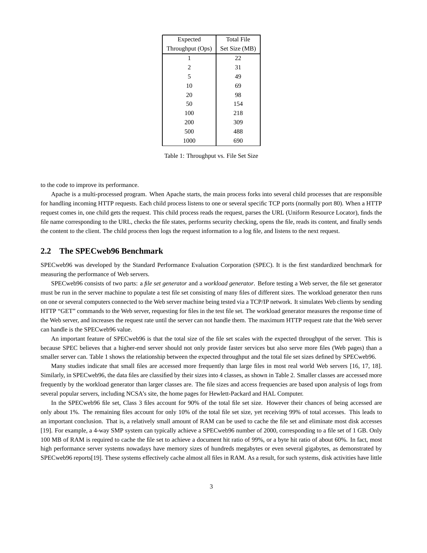| Expected         | <b>Total File</b> |  |
|------------------|-------------------|--|
| Throughput (Ops) | Set Size (MB)     |  |
| 1                | 22                |  |
| 2                | 31                |  |
| 5                | 49                |  |
| 10               | 69                |  |
| 20               | 98                |  |
| 50               | 154               |  |
| 100              | 218               |  |
| 200<br>309       |                   |  |
| 500              | 488               |  |
| 1000             | 690               |  |

Table 1: Throughput vs. File Set Size

to the code to improve its performance.

Apache is a multi-processed program. When Apache starts, the main process forks into several child processes that are responsible for handling incoming HTTP requests. Each child process listens to one or several specific TCP ports (normally port 80). When a HTTP request comes in, one child gets the request. This child process reads the request, parses the URL (Uniform Resource Locator), finds the file name corresponding to the URL, checks the file states, performs security checking, opens the file, reads its content, and finally sends the content to the client. The child process then logs the request information to a log file, and listens to the next request.

#### **2.2 The SPECweb96 Benchmark**

SPECweb96 was developed by the Standard Performance Evaluation Corporation (SPEC). It is the first standardized benchmark for measuring the performance of Web servers.

SPECweb96 consists of two parts: a *file set generator* and a *workload generator*. Before testing a Web server, the file set generator must be run in the server machine to populate a test file set consisting of many files of different sizes. The workload generator then runs on one or several computers connected to the Web server machine being tested via a TCP/IP network. It simulates Web clients by sending HTTP "GET" commands to the Web server, requesting for files in the test file set. The workload generator measures the response time of the Web server, and increases the request rate until the server can not handle them. The maximum HTTP request rate that the Web server can handle is the SPECweb96 value.

An important feature of SPECweb96 is that the total size of the file set scales with the expected throughput of the server. This is because SPEC believes that a higher-end server should not only provide faster services but also serve more files (Web pages) than a smaller server can. Table 1 shows the relationship between the expected throughput and the total file set sizes defined by SPECweb96.

Many studies indicate that small files are accessed more frequently than large files in most real world Web servers [16, 17, 18]. Similarly, in SPECweb96, the data files are classified by their sizes into 4 classes, as shown in Table 2. Smaller classes are accessed more frequently by the workload generator than larger classes are. The file sizes and access frequencies are based upon analysis of logs from several popular servers, including NCSA's site, the home pages for Hewlett-Packard and HAL Computer.

In the SPECweb96 file set, Class 3 files account for 90% of the total file set size. However their chances of being accessed are only about 1%. The remaining files account for only 10% of the total file set size, yet receiving 99% of total accesses. This leads to an important conclusion. That is, a relatively small amount of RAM can be used to cache the file set and eliminate most disk accesses [19]. For example, a 4-way SMP system can typically achieve a SPECweb96 number of 2000, corresponding to a file set of 1 GB. Only 100 MB of RAM is required to cache the file set to achieve a document hit ratio of 99%, or a byte hit ratio of about 60%. In fact, most high performance server systems nowadays have memory sizes of hundreds megabytes or even several gigabytes, as demonstrated by SPECweb96 reports[19]. These systems effectively cache almost all files in RAM. As a result, for such systems, disk activities have little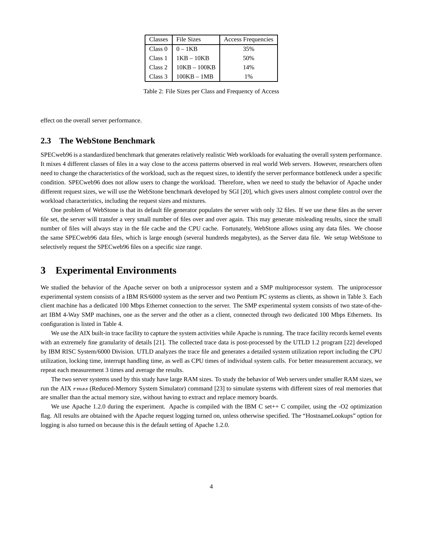| Classes            | File Sizes     | Access Frequencies |  |
|--------------------|----------------|--------------------|--|
| Class 0            | $0-1KB$        | 35%                |  |
| Class 1            | $1KB - 10KB$   | 50%                |  |
| Class 2            | $10KB - 100KB$ | 14%                |  |
| Class <sub>3</sub> | $100KB - 1MB$  | 1%                 |  |

Table 2: File Sizes per Class and Frequency of Access

effect on the overall server performance.

### **2.3 The WebStone Benchmark**

SPECweb96 is a standardized benchmark that generates relatively realistic Web workloads for evaluating the overall system performance. It mixes 4 different classes of files in a way close to the access patterns observed in real world Web servers. However, researchers often need to change the characteristics of the workload, such as the request sizes, to identify the server performance bottleneck under a specific condition. SPECweb96 does not allow users to change the workload. Therefore, when we need to study the behavior of Apache under different request sizes, we will use the WebStone benchmark developed by SGI [20], which gives users almost complete control over the workload characteristics, including the request sizes and mixtures.

One problem of WebStone is that its default file generator populates the server with only 32 files. If we use these files as the server file set, the server will transfer a very small number of files over and over again. This may generate misleading results, since the small number of files will always stay in the file cache and the CPU cache. Fortunately, WebStone allows using any data files. We choose the same SPECweb96 data files, which is large enough (several hundreds megabytes), as the Server data file. We setup WebStone to selectively request the SPECweb96 files on a specific size range.

### **3 Experimental Environments**

We studied the behavior of the Apache server on both a uniprocessor system and a SMP multiprocessor system. The uniprocessor experimental system consists of a IBM RS/6000 system as the server and two Pentium PC systems as clients, as shown in Table 3. Each client machine has a dedicated 100 Mbps Ethernet connection to the server. The SMP experimental system consists of two state-of-theart IBM 4-Way SMP machines, one as the server and the other as a client, connected through two dedicated 100 Mbps Ethernets. Its configuration is listed in Table 4.

We use the AIX built-in trace facility to capture the system activities while Apache is running. The trace facility records kernel events with an extremely fine granularity of details [21]. The collected trace data is post-processed by the UTLD 1.2 program [22] developed by IBM RISC System/6000 Division. UTLD analyzes the trace file and generates a detailed system utilization report including the CPU utilization, locking time, interrupt handling time, as well as CPU times of individual system calls. For better measurement accuracy, we repeat each measurement 3 times and average the results.

The two server systems used by this study have large RAM sizes. To study the behavior of Web servers under smaller RAM sizes, we run the AIX rmss (Reduced-Memory System Simulator) command [23] to simulate systems with different sizes of real memories that are smaller than the actual memory size, without having to extract and replace memory boards.

We use Apache 1.2.0 during the experiment. Apache is compiled with the IBM C set++ C compiler, using the -O2 optimization flag. All results are obtained with the Apache request logging turned on, unless otherwise specified. The "HostnameLookups" option for logging is also turned on because this is the default setting of Apache 1.2.0.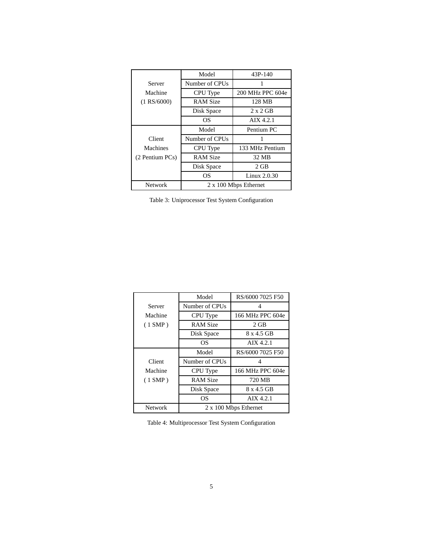|                 | Model                      | 43P-140          |  |
|-----------------|----------------------------|------------------|--|
| Server          | Number of CPUs             |                  |  |
| Machine         | CPU Type                   | 200 MHz PPC 604e |  |
| $(1$ RS/6000)   | <b>RAM Size</b>            | 128 MB           |  |
|                 | Disk Space                 | $2 \times 2$ GB  |  |
|                 | OS                         | AIX 4.2.1        |  |
|                 | Model                      | Pentium PC       |  |
| Client          | Number of CPU <sub>s</sub> |                  |  |
| Machines        | CPU Type                   | 133 MHz Pentium  |  |
| (2 Pentium PCs) | <b>RAM Size</b>            | 32 MB            |  |
|                 | Disk Space                 | $2$ GB           |  |
|                 | OS                         | Linux $2.0.30$   |  |
| <b>Network</b>  | 2 x 100 Mbps Ethernet      |                  |  |

Table 3: Uniprocessor Test System Configuration

|                | Model                      | RS/6000 7025 F50 |  |
|----------------|----------------------------|------------------|--|
| Server         | Number of CPUs             | 4                |  |
| Machine        | CPU Type                   | 166 MHz PPC 604e |  |
| $(1$ SMP)      | <b>RAM Size</b>            | $2$ GB           |  |
|                | Disk Space                 | 8 x 4.5 GB       |  |
|                | OS                         | AYX4.2.1         |  |
|                | Model                      | RS/6000 7025 F50 |  |
| Client         | Number of CPU <sub>s</sub> | 4                |  |
| Machine        | CPU Type                   | 166 MHz PPC 604e |  |
| $(1$ SMP)      | RAM Size                   | 720 MB           |  |
|                | Disk Space                 | 8 x 4.5 GB       |  |
|                | OS                         | AYX4.2.1         |  |
| <b>Network</b> | 2 x 100 Mbps Ethernet      |                  |  |

Table 4: Multiprocessor Test System Configuration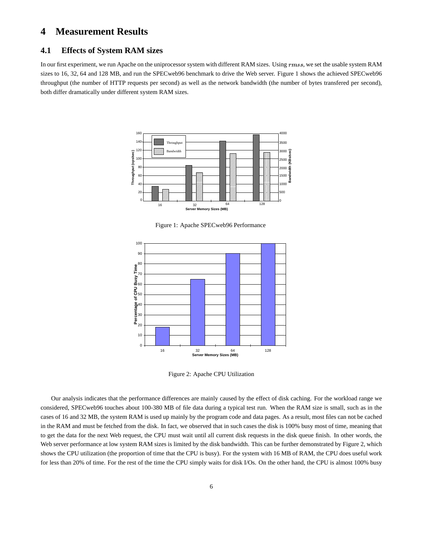## **4 Measurement Results**

#### **4.1 Effects of System RAM sizes**

In our first experiment, we run Apache on the uniprocessor system with different RAM sizes. Using rmss, we set the usable system RAM sizes to 16, 32, 64 and 128 MB, and run the SPECweb96 benchmark to drive the Web server. Figure 1 shows the achieved SPECweb96 throughput (the number of HTTP requests per second) as well as the network bandwidth (the number of bytes transfered per second), both differ dramatically under different system RAM sizes.



Figure 1: Apache SPECweb96 Performance



Figure 2: Apache CPU Utilization

Our analysis indicates that the performance differences are mainly caused by the effect of disk caching. For the workload range we considered, SPECweb96 touches about 100-380 MB of file data during a typical test run. When the RAM size is small, such as in the cases of 16 and 32 MB, the system RAM is used up mainly by the program code and data pages. As a result, most files can not be cached in the RAM and must be fetched from the disk. In fact, we observed that in such cases the disk is 100% busy most of time, meaning that to get the data for the next Web request, the CPU must wait until all current disk requests in the disk queue finish. In other words, the Web server performance at low system RAM sizes is limited by the disk bandwidth. This can be further demonstrated by Figure 2, which shows the CPU utilization (the proportion of time that the CPU is busy). For the system with 16 MB of RAM, the CPU does useful work for less than 20% of time. For the rest of the time the CPU simply waits for disk I/Os. On the other hand, the CPU is almost 100% busy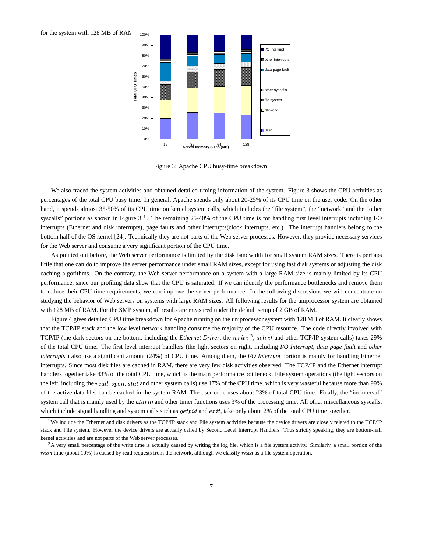for the system with 128 MB of RAM.



Figure 3: Apache CPU busy-time breakdown

We also traced the system activities and obtained detailed timing information of the system. Figure 3 shows the CPU activities as percentages of the total CPU busy time. In general, Apache spends only about 20-25% of its CPU time on the user code. On the other hand, it spends almost 35-50% of its CPU time on kernel system calls, which includes the "file system", the "network" and the "other syscalls" portions as shown in Figure  $3<sup>1</sup>$ . The remaining 25-40% of the CPU time is for handling first level interrupts including I/O interrupts (Ethernet and disk interrupts), page faults and other interrupts(clock interrupts, etc.). The interrupt handlers belong to the bottom half of the OS kernel [24]. Technically they are not parts of the Web server processes. However, they provide necessary services for the Web server and consume a very significant portion of the CPU time.

As pointed out before, the Web server performance is limited by the disk bandwidth for small system RAM sizes. There is perhaps little that one can do to improve the server performance under small RAM sizes, except for using fast disk systems or adjusting the disk caching algorithms. On the contrary, the Web server performance on a system with a large RAM size is mainly limited by its CPU performance, since our profiling data show that the CPU is saturated. If we can identify the performance bottlenecks and remove them to reduce their CPU time requirements, we can improve the server performance. In the following discussions we will concentrate on studying the behavior of Web servers on systems with large RAM sizes. All following results for the uniprocessor system are obtained with 128 MB of RAM. For the SMP system, all results are measured under the default setup of 2 GB of RAM.

Figure 4 gives detailed CPU time breakdown for Apache running on the uniprocessor system with 128 MB of RAM. It clearly shows that the TCP/IP stack and the low level network handling consume the majority of the CPU resource. The code directly involved with TCP/IP (the dark sectors on the bottom, including the *Ethernet Driver*, the write <sup>2</sup>, select and other TCP/IP system calls) takes 29% of the total CPU time. The first level interrupt handlers (the light sectors on right, including *I/O Interrupt, data page fault* and *other interrupts* ) also use a significant amount (24%) of CPU time. Among them, the *I/O Interrupt* portion is mainly for handling Ethernet interrupts. Since most disk files are cached in RAM, there are very few disk activities observed. The TCP/IP and the Ethernet interrupt handlers together take 43% of the total CPU time, which is the main performance bottleneck. File system operations (the light sectors on the left, including the read, open, stat and other system calls) use 17% of the CPU time, which is very wasteful because more than 99% of the active data files can be cached in the system RAM. The user code uses about 23% of total CPU time. Finally, the "incinterval" system call that is mainly used by the  $alarm$  and other timer functions uses 3% of the processing time. All other miscellaneous syscalls, which include signal handling and system calls such as  $getpid$  and  $exit$ , take only about 2% of the total CPU time together.

 $1$ We include the Ethernet and disk drivers as the TCP/IP stack and File system activities because the device drivers are closely related to the TCP/IP stack and File system. However the device drivers are actually called by Second Level Interrupt Handlers. Thus strictly speaking, they are bottom-half kernel activities and are not parts of the Web server processes.

<sup>&</sup>lt;sup>2</sup>A very small percentage of the write time is actually caused by writing the log file, which is a file system activity. Similarly, a small portion of the  $read$  time (about 10%) is caused by read requests from the network, although we classify  $read$  as a file system operation.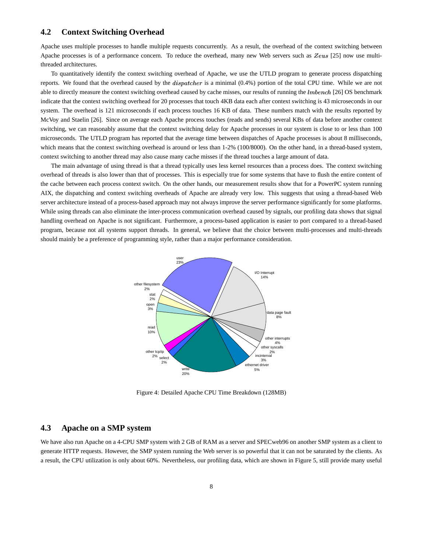#### **4.2 Context Switching Overhead**

Apache uses multiple processes to handle multiple requests concurrently. As a result, the overhead of the context switching between Apache processes is of a performance concern. To reduce the overhead, many new Web servers such as  $Zeus$  [25] now use multithreaded architectures.

To quantitatively identify the context switching overhead of Apache, we use the UTLD program to generate process dispatching reports. We found that the overhead caused by the  $dispatcher$  is a minimal  $(0.4%)$  portion of the total CPU time. While we are not able to directly measure the context switching overhead caused by cache misses, our results of running the  $lmbench$  [26] OS benchmark indicate that the context switching overhead for 20 processes that touch 4KB data each after context switching is 43 microseconds in our system. The overhead is 121 microseconds if each process touches 16 KB of data. These numbers match with the results reported by McVoy and Staelin [26]. Since on average each Apache process touches (reads and sends) several KBs of data before another context switching, we can reasonably assume that the context switching delay for Apache processes in our system is close to or less than 100 microseconds. The UTLD program has reported that the average time between dispatches of Apache processes is about 8 milliseconds, which means that the context switching overhead is around or less than 1-2% (100/8000). On the other hand, in a thread-based system, context switching to another thread may also cause many cache misses if the thread touches a large amount of data.

The main advantage of using thread is that a thread typically uses less kernel resources than a process does. The context switching overhead of threads is also lower than that of processes. This is especially true for some systems that have to flush the entire content of the cache between each process context switch. On the other hands, our measurement results show that for a PowerPC system running AIX, the dispatching and context switching overheads of Apache are already very low. This suggests that using a thread-based Web server architecture instead of a process-based approach may not always improve the server performance significantly for some platforms. While using threads can also eliminate the inter-process communication overhead caused by signals, our profiling data shows that signal handling overhead on Apache is not significant. Furthermore, a process-based application is easier to port compared to a thread-based program, because not all systems support threads. In general, we believe that the choice between multi-processes and multi-threads should mainly be a preference of programming style, rather than a major performance consideration.



Figure 4: Detailed Apache CPU Time Breakdown (128MB)

#### **4.3 Apache on a SMP system**

We have also run Apache on a 4-CPU SMP system with 2 GB of RAM as a server and SPECweb96 on another SMP system as a client to generate HTTP requests. However, the SMP system running the Web server is so powerful that it can not be saturated by the clients. As a result, the CPU utilization is only about 60%. Nevertheless, our profiling data, which are shown in Figure 5, still provide many useful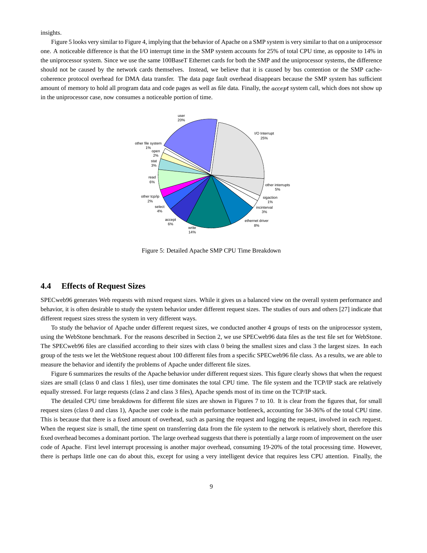insights.

Figure 5 looks very similar to Figure 4, implying that the behavior of Apache on a SMP system is very similar to that on a uniprocessor one. A noticeable difference is that the I/O interrupt time in the SMP system accounts for 25% of total CPU time, as opposite to 14% in the uniprocessor system. Since we use the same 100BaseT Ethernet cards for both the SMP and the uniprocessor systems, the difference should not be caused by the network cards themselves. Instead, we believe that it is caused by bus contention or the SMP cachecoherence protocol overhead for DMA data transfer. The data page fault overhead disappears because the SMP system has sufficient amount of memory to hold all program data and code pages as well as file data. Finally, the accept system call, which does not show up in the uniprocessor case, now consumes a noticeable portion of time.



Figure 5: Detailed Apache SMP CPU Time Breakdown

#### **4.4 Effects of Request Sizes**

SPECweb96 generates Web requests with mixed request sizes. While it gives us a balanced view on the overall system performance and behavior, it is often desirable to study the system behavior under different request sizes. The studies of ours and others [27] indicate that different request sizes stress the system in very different ways.

To study the behavior of Apache under different request sizes, we conducted another 4 groups of tests on the uniprocessor system, using the WebStone benchmark. For the reasons described in Section 2, we use SPECweb96 data files as the test file set for WebStone. The SPECweb96 files are classified according to their sizes with class 0 being the smallest sizes and class 3 the largest sizes. In each group of the tests we let the WebStone request about 100 different files from a specific SPECweb96 file class. As a results, we are able to measure the behavior and identify the problems of Apache under different file sizes.

Figure 6 summarizes the results of the Apache behavior under different request sizes. This figure clearly shows that when the request sizes are small (class 0 and class 1 files), user time dominates the total CPU time. The file system and the TCP/IP stack are relatively equally stressed. For large requests (class 2 and class 3 files), Apache spends most of its time on the TCP/IP stack.

The detailed CPU time breakdowns for different file sizes are shown in Figures 7 to 10. It is clear from the figures that, for small request sizes (class 0 and class 1), Apache user code is the main performance bottleneck, accounting for 34-36% of the total CPU time. This is because that there is a fixed amount of overhead, such as parsing the request and logging the request, involved in each request. When the request size is small, the time spent on transferring data from the file system to the network is relatively short, therefore this fixed overhead becomes a dominant portion. The large overhead suggests that there is potentially a large room of improvement on the user code of Apache. First level interrupt processing is another major overhead, consuming 19-20% of the total processing time. However, there is perhaps little one can do about this, except for using a very intelligent device that requires less CPU attention. Finally, the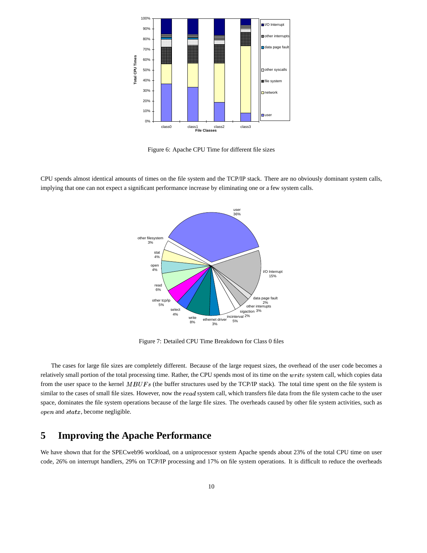

Figure 6: Apache CPU Time for different file sizes

CPU spends almost identical amounts of times on the file system and the TCP/IP stack. There are no obviously dominant system calls, implying that one can not expect a significant performance increase by eliminating one or a few system calls.



Figure 7: Detailed CPU Time Breakdown for Class 0 files

The cases for large file sizes are completely different. Because of the large request sizes, the overhead of the user code becomes a relatively small portion of the total processing time. Rather, the CPU spends most of its time on the write system call, which copies data from the user space to the kernel MBUFs (the buffer structures used by the TCP/IP stack). The total time spent on the file system is similar to the cases of small file sizes. However, now the read system call, which transfers file data from the file system cache to the user space, dominates the file system operations because of the large file sizes. The overheads caused by other file system activities, such as  $open$  and  $statx$ , become negligible.

## **5 Improving the Apache Performance**

We have shown that for the SPECweb96 workload, on a uniprocessor system Apache spends about 23% of the total CPU time on user code, 26% on interrupt handlers, 29% on TCP/IP processing and 17% on file system operations. It is difficult to reduce the overheads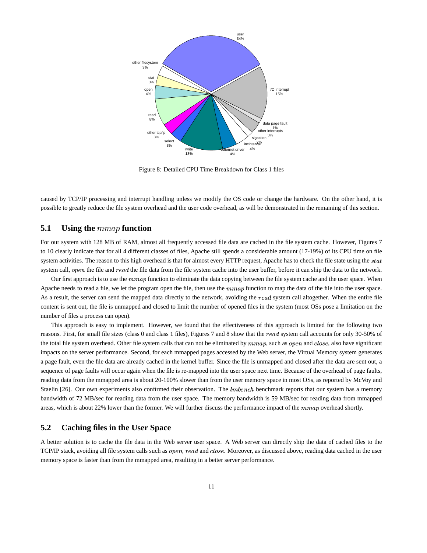

Figure 8: Detailed CPU Time Breakdown for Class 1 files

caused by TCP/IP processing and interrupt handling unless we modify the OS code or change the hardware. On the other hand, it is possible to greatly reduce the file system overhead and the user code overhead, as will be demonstrated in the remaining of this section.

### **5.1 Using the** mmap **function**

For our system with 128 MB of RAM, almost all frequently accessed file data are cached in the file system cache. However, Figures 7 to 10 clearly indicate that for all 4 different classes of files, Apache still spends a considerable amount (17-19%) of its CPU time on file system activities. The reason to this high overhead is that for almost every HTTP request, Apache has to check the file state using the  $stat$ system call, open the file and read the file data from the file system cache into the user buffer, before it can ship the data to the network.

Our first approach is to use the  $mmap$  function to eliminate the data copying between the file system cache and the user space. When Apache needs to read a file, we let the program open the file, then use the  $mmap$  function to map the data of the file into the user space. As a result, the server can send the mapped data directly to the network, avoiding the read system call altogether. When the entire file content is sent out, the file is unmapped and closed to limit the number of opened files in the system (most OSs pose a limitation on the number of files a process can open).

This approach is easy to implement. However, we found that the effectiveness of this approach is limited for the following two reasons. First, for small file sizes (class 0 and class 1 files), Figures 7 and 8 show that the read system call accounts for only 30-50% of the total file system overhead. Other file system calls that can not be eliminated by  $mmap$ , such as  $open$  and  $close$ , also have significant impacts on the server performance. Second, for each mmapped pages accessed by the Web server, the Virtual Memory system generates a page fault, even the file data are already cached in the kernel buffer. Since the file is unmapped and closed after the data are sent out, a sequence of page faults will occur again when the file is re-mapped into the user space next time. Because of the overhead of page faults, reading data from the mmapped area is about 20-100% slower than from the user memory space in most OSs, as reported by McVoy and Staelin [26]. Our own experiments also confirmed their observation. The  $lmbench$  benchmark reports that our system has a memory bandwidth of 72 MB/sec for reading data from the user space. The memory bandwidth is 59 MB/sec for reading data from mmapped areas, which is about 22% lower than the former. We will further discuss the performance impact of the  $mmap$  overhead shortly.

#### **5.2 Caching files in the User Space**

A better solution is to cache the file data in the Web server user space. A Web server can directly ship the data of cached files to the TCP/IP stack, avoiding all file system calls such as *open, read* and *close*. Moreover, as discussed above, reading data cached in the user memory space is faster than from the mmapped area, resulting in a better server performance.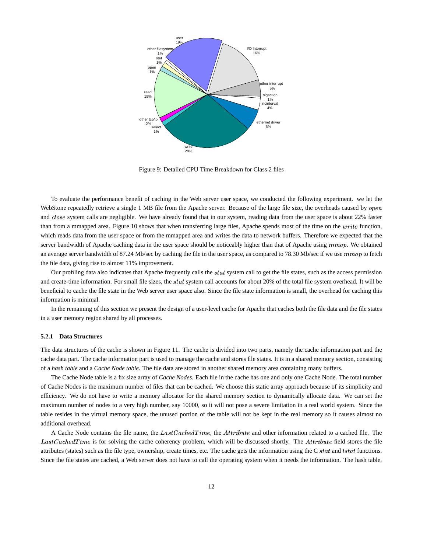

Figure 9: Detailed CPU Time Breakdown for Class 2 files

To evaluate the performance benefit of caching in the Web server user space, we conducted the following experiment. we let the WebStone repeatedly retrieve a single 1 MB file from the Apache server. Because of the large file size, the overheads caused by open and close system calls are negligible. We have already found that in our system, reading data from the user space is about 22% faster than from a mmapped area. Figure 10 shows that when transferring large files, Apache spends most of the time on the  $write$  function, which reads data from the user space or from the mmapped area and writes the data to network buffers. Therefore we expected that the server bandwidth of Apache caching data in the user space should be noticeably higher than that of Apache using  $mmap$ . We obtained an average server bandwidth of 87.24 Mb/sec by caching the file in the user space, as compared to 78.30 Mb/sec if we use  $mmap$  to fetch the file data, giving rise to almost 11% improvement.

Our profiling data also indicates that Apache frequently calls the  $stat$  system call to get the file states, such as the access permission and create-time information. For small file sizes, the  $stat$  system call accounts for about 20% of the total file system overhead. It will be beneficial to cache the file state in the Web server user space also. Since the file state information is small, the overhead for caching this information is minimal.

In the remaining of this section we present the design of a user-level cache for Apache that caches both the file data and the file states in a user memory region shared by all processes.

#### **5.2.1 Data Structures**

The data structures of the cache is shown in Figure 11. The cache is divided into two parts, namely the cache information part and the cache data part. The cache information part is used to manage the cache and stores file states. It is in a shared memory section, consisting of a *hash table* and a *Cache Node table*. The file data are stored in another shared memory area containing many buffers.

The Cache Node table is a fix size array of *Cache Nodes*. Each file in the cache has one and only one Cache Node. The total number of Cache Nodes is the maximum number of files that can be cached. We choose this static array approach because of its simplicity and efficiency. We do not have to write a memory allocator for the shared memory section to dynamically allocate data. We can set the maximum number of nodes to a very high number, say 10000, so it will not pose a severe limitation in a real world system. Since the table resides in the virtual memory space, the unused portion of the table will not be kept in the real memory so it causes almost no additional overhead.

A Cache Node contains the file name, the LastCachedTime, the Attribute and other information related to a cached file. The  $LastCacheedTime$  is for solving the cache coherency problem, which will be discussed shortly. The Attribute field stores the file attributes (states) such as the file type, ownership, create times, etc. The cache gets the information using the  $C$  stat and lstat functions. Since the file states are cached, a Web server does not have to call the operating system when it needs the information. The hash table,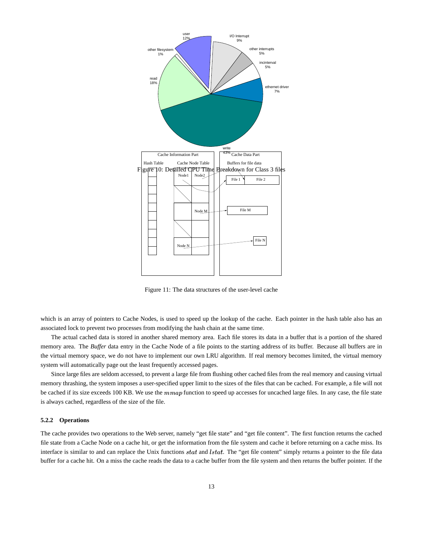

Figure 11: The data structures of the user-level cache

which is an array of pointers to Cache Nodes, is used to speed up the lookup of the cache. Each pointer in the hash table also has an associated lock to prevent two processes from modifying the hash chain at the same time.

The actual cached data is stored in another shared memory area. Each file stores its data in a buffer that is a portion of the shared memory area. The *Buffer* data entry in the Cache Node of a file points to the starting address of its buffer. Because all buffers are in the virtual memory space, we do not have to implement our own LRU algorithm. If real memory becomes limited, the virtual memory system will automatically page out the least frequently accessed pages.

Since large files are seldom accessed, to prevent a large file from flushing other cached files from the real memory and causing virtual memory thrashing, the system imposes a user-specified upper limit to the sizes of the files that can be cached. For example, a file will not be cached if its size exceeds 100 KB. We use the  $mmap$  function to speed up accesses for uncached large files. In any case, the file state is always cached, regardless of the size of the file.

#### **5.2.2 Operations**

The cache provides two operations to the Web server, namely "get file state" and "get file content". The first function returns the cached file state from a Cache Node on a cache hit, or get the information from the file system and cache it before returning on a cache miss. Its interface is similar to and can replace the Unix functions  $stat$  and  $lstat$ . The "get file content" simply returns a pointer to the file data buffer for a cache hit. On a miss the cache reads the data to a cache buffer from the file system and then returns the buffer pointer. If the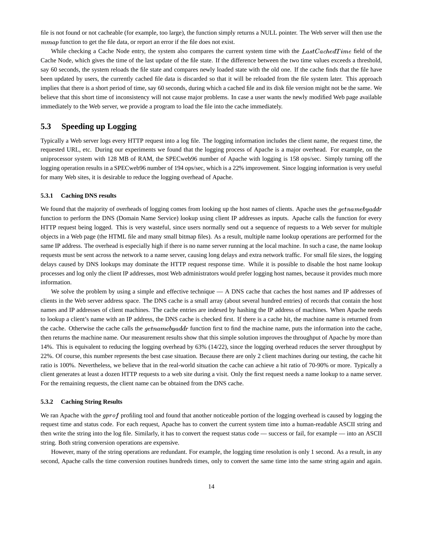file is not found or not cacheable (for example, too large), the function simply returns a NULL pointer. The Web server will then use the  $mmap$  function to get the file data, or report an error if the file does not exist.

While checking a Cache Node entry, the system also compares the current system time with the  $LastCacheedTime$  field of the Cache Node, which gives the time of the last update of the file state. If the difference between the two time values exceeds a threshold, say 60 seconds, the system reloads the file state and compares newly loaded state with the old one. If the cache finds that the file have been updated by users, the currently cached file data is discarded so that it will be reloaded from the file system later. This approach implies that there is a short period of time, say 60 seconds, during which a cached file and its disk file version might not be the same. We believe that this short time of inconsistency will not cause major problems. In case a user wants the newly modified Web page available immediately to the Web server, we provide a program to load the file into the cache immediately.

### **5.3 Speeding up Logging**

Typically a Web server logs every HTTP request into a log file. The logging information includes the client name, the request time, the requested URL, etc. During our experiments we found that the logging process of Apache is a major overhead. For example, on the uniprocessor system with 128 MB of RAM, the SPECweb96 number of Apache with logging is 158 ops/sec. Simply turning off the logging operation results in a SPECweb96 number of 194 ops/sec, which is a 22% improvement. Since logging information is very useful for many Web sites, it is desirable to reduce the logging overhead of Apache.

#### **5.3.1 Caching DNS results**

We found that the majority of overheads of logging comes from looking up the host names of clients. Apache uses the  $getnamebyaddr$ function to perform the DNS (Domain Name Service) lookup using client IP addresses as inputs. Apache calls the function for every HTTP request being logged. This is very wasteful, since users normally send out a sequence of requests to a Web server for multiple objects in a Web page (the HTML file and many small bitmap files). As a result, multiple name lookup operations are performed for the same IP address. The overhead is especially high if there is no name server running at the local machine. In such a case, the name lookup requests must be sent across the network to a name server, causing long delays and extra network traffic. For small file sizes, the logging delays caused by DNS lookups may dominate the HTTP request response time. While it is possible to disable the host name lookup processes and log only the client IP addresses, most Web administrators would prefer logging host names, because it provides much more information.

We solve the problem by using a simple and effective technique — A DNS cache that caches the host names and IP addresses of clients in the Web server address space. The DNS cache is a small array (about several hundred entries) of records that contain the host names and IP addresses of client machines. The cache entries are indexed by hashing the IP address of machines. When Apache needs to lookup a client's name with an IP address, the DNS cache is checked first. If there is a cache hit, the machine name is returned from the cache. Otherwise the cache calls the  $getnameyaddr$  function first to find the machine name, puts the information into the cache, then returns the machine name. Our measurement results show that this simple solution improves the throughput of Apache by more than 14%. This is equivalent to reducing the logging overhead by 63% (14/22), since the logging overhead reduces the server throughput by 22%. Of course, this number represents the best case situation. Because there are only 2 client machines during our testing, the cache hit ratio is 100%. Nevertheless, we believe that in the real-world situation the cache can achieve a hit ratio of 70-90% or more. Typically a client generates at least a dozen HTTP requests to a web site during a visit. Only the first request needs a name lookup to a name server. For the remaining requests, the client name can be obtained from the DNS cache.

#### **5.3.2 Caching String Results**

We ran Apache with the  $gprof$  profiling tool and found that another noticeable portion of the logging overhead is caused by logging the request time and status code. For each request, Apache has to convert the current system time into a human-readable ASCII string and then write the string into the log file. Similarly, it has to convert the request status code — success or fail, for example — into an ASCII string. Both string conversion operations are expensive.

However, many of the string operations are redundant. For example, the logging time resolution is only 1 second. As a result, in any second, Apache calls the time conversion routines hundreds times, only to convert the same time into the same string again and again.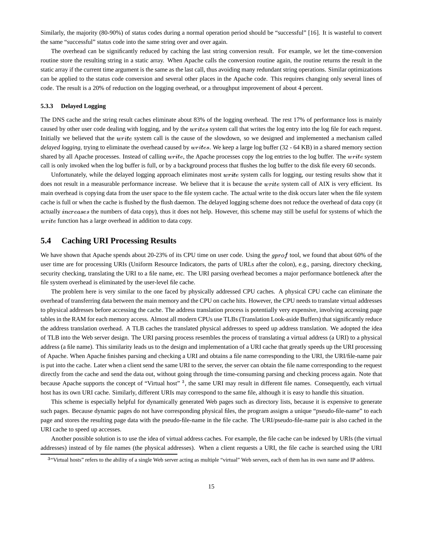Similarly, the majority (80-90%) of status codes during a normal operation period should be "successful" [16]. It is wasteful to convert the same "successful" status code into the same string over and over again.

The overhead can be significantly reduced by caching the last string conversion result. For example, we let the time-conversion routine store the resulting string in a static array. When Apache calls the conversion routine again, the routine returns the result in the static array if the current time argument is the same as the last call, thus avoiding many redundant string operations. Similar optimizations can be applied to the status code conversion and several other places in the Apache code. This requires changing only several lines of code. The result is a 20% of reduction on the logging overhead, or a throughput improvement of about 4 percent.

#### **5.3.3 Delayed Logging**

The DNS cache and the string result caches eliminate about 83% of the logging overhead. The rest 17% of performance loss is mainly caused by other user code dealing with logging, and by the *writes* system call that writes the log entry into the log file for each request. Initially we believed that the *write* system call is the cause of the slowdown, so we designed and implemented a mechanism called delayed *logging*, trying to eliminate the overhead caused by writes. We keep a large log buffer (32 - 64 KB) in a shared memory section shared by all Apache processes. Instead of calling  $write$ , the Apache processes copy the log entries to the log buffer. The  $write$  system call is only invoked when the log buffer is full, or by a background process that flushes the log buffer to the disk file every 60 seconds.

Unfortunately, while the delayed logging approach eliminates most  $write$  system calls for logging, our testing results show that it does not result in a measurable performance increase. We believe that it is because the write system call of AIX is very efficient. Its main overhead is copying data from the user space to the file system cache. The actual write to the disk occurs later when the file system cache is full or when the cache is flushed by the flush daemon. The delayed logging scheme does not reduce the overhead of data copy (it actually *increases* the numbers of data copy), thus it does not help. However, this scheme may still be useful for systems of which the  $write$  function has a large overhead in addition to data copy.

#### **5.4 Caching URI Processing Results**

We have shown that Apache spends about 20-23% of its CPU time on user code. Using the  $gprof$  tool, we found that about 60% of the user time are for processing URIs (Uniform Resource Indicators, the parts of URLs after the colon), e.g., parsing, directory checking, security checking, translating the URI to a file name, etc. The URI parsing overhead becomes a major performance bottleneck after the file system overhead is eliminated by the user-level file cache.

The problem here is very similar to the one faced by physically addressed CPU caches. A physical CPU cache can eliminate the overhead of transferring data between the main memory and the CPU on cache hits. However, the CPU needs to translate virtual addresses to physical addresses before accessing the cache. The address translation process is potentially very expensive, involving accessing page tables in the RAM for each memory access. Almost all modern CPUs use TLBs (Translation Look-aside Buffers) that significantly reduce the address translation overhead. A TLB caches the translated physical addresses to speed up address translation. We adopted the idea of TLB into the Web server design. The URI parsing process resembles the process of translating a virtual address (a URI) to a physical address (a file name). This similarity leads us to the design and implementation of a URI cache that greatly speeds up the URI processing of Apache. When Apache finishes parsing and checking a URI and obtains a file name corresponding to the URI, the URI/file-name pair is put into the cache. Later when a client send the same URI to the server, the server can obtain the file name corresponding to the request directly from the cache and send the data out, without going through the time-consuming parsing and checking process again. Note that because Apache supports the concept of "Virtual host" <sup>3</sup>, the same URI may result in different file names. Consequently, each virtual host has its own URI cache. Similarly, different URIs may correspond to the same file, although it is easy to handle this situation.

This scheme is especially helpful for dynamically generated Web pages such as directory lists, because it is expensive to generate such pages. Because dynamic pages do not have corresponding physical files, the program assigns a unique "pseudo-file-name" to each page and stores the resulting page data with the pseudo-file-name in the file cache. The URI/pseudo-file-name pair is also cached in the URI cache to speed up accesses.

Another possible solution is to use the idea of virtual address caches. For example, the file cache can be indexed by URIs (the virtual addresses) instead of by file names (the physical addresses). When a client requests a URI, the file cache is searched using the URI

<sup>&</sup>lt;sup>3</sup> "Virtual hosts" refers to the ability of a single Web server acting as multiple "virtual" Web servers, each of them has its own name and IP address.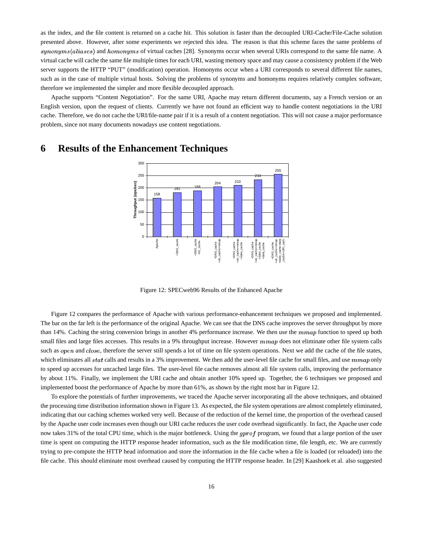as the index, and the file content is returned on a cache hit. This solution is faster than the decoupled URI-Cache/File-Cache solution presented above. However, after some experiments we rejected this idea. The reason is that this scheme faces the same problems of  $synonyms (aliases)$  and  $homonyms$  of virtual caches [28]. Synonyms occur when several URIs correspond to the same file name. A virtual cache will cache the same file multiple times for each URI, wasting memory space and may cause a consistency problem if the Web server supports the HTTP "PUT" (modification) operation. Homonyms occur when a URI corresponds to several different file names, such as in the case of multiple virtual hosts. Solving the problems of synonyms and homonyms requires relatively complex software, therefore we implemented the simpler and more flexible decoupled approach.

Apache supports "Content Negotiation". For the same URI, Apache may return different documents, say a French version or an English version, upon the request of clients. Currently we have not found an efficient way to handle content negotiations in the URI cache. Therefore, we do not cache the URI/file-name pair if it is a result of a content negotiation. This will not cause a major performance problem, since not many documents nowadays use content negotiations.



### **6 Results of the Enhancement Techniques**

Figure 12: SPECweb96 Results of the Enhanced Apache

Figure 12 compares the performance of Apache with various performance-enhancement techniques we proposed and implemented. The bar on the far left is the performance of the original Apache. We can see that the DNS cache improves the server throughput by more than 14%. Caching the string conversion brings in another 4% performance increase. We then use the  $mmap$  function to speed up both small files and large files accesses. This results in a 9% throughput increase. However  $mmap$  does not eliminate other file system calls such as open and close, therefore the server still spends a lot of time on file system operations. Next we add the cache of the file states, which eliminates all stat calls and results in a 3% improvement. We then add the user-level file cache for small files, and use  $mmap$  only to speed up accesses for uncached large files. The user-level file cache removes almost all file system calls, improving the performance by about 11%. Finally, we implement the URI cache and obtain another 10% speed up. Together, the 6 techniques we proposed and implemented boost the performance of Apache by more than 61%, as shown by the right most bar in Figure 12.

To explore the potentials of further improvements, we traced the Apache server incorporating all the above techniques, and obtained the processing time distribution information shown in Figure 13. As expected, the file system operations are almost completely eliminated, indicating that our caching schemes worked very well. Because of the reduction of the kernel time, the proportion of the overhead caused by the Apache user code increases even though our URI cache reduces the user code overhead significantly. In fact, the Apache user code now takes 31% of the total CPU time, which is the major bottleneck. Using the *gprof* program, we found that a large portion of the user time is spent on computing the HTTP response header information, such as the file modification time, file length, etc. We are currently trying to pre-compute the HTTP head information and store the information in the file cache when a file is loaded (or reloaded) into the file cache. This should eliminate most overhead caused by computing the HTTP response header. In [29] Kaashoek et al. also suggested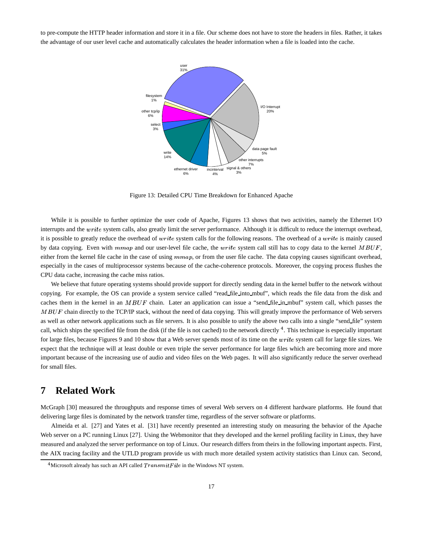to pre-compute the HTTP header information and store it in a file. Our scheme does not have to store the headers in files. Rather, it takes the advantage of our user level cache and automatically calculates the header information when a file is loaded into the cache.



Figure 13: Detailed CPU Time Breakdown for Enhanced Apache

While it is possible to further optimize the user code of Apache, Figures 13 shows that two activities, namely the Ethernet I/O interrupts and the write system calls, also greatly limit the server performance. Although it is difficult to reduce the interrupt overhead, it is possible to greatly reduce the overhead of write system calls for the following reasons. The overhead of a write is mainly caused by data copying. Even with  $mmap$  and our user-level file cache, the write system call still has to copy data to the kernel  $MBUF$ , either from the kernel file cache in the case of using  $mmap$ , or from the user file cache. The data copying causes significant overhead, especially in the cases of multiprocessor systems because of the cache-coherence protocols. Moreover, the copying process flushes the CPU data cache, increasing the cache miss ratios.

We believe that future operating systems should provide support for directly sending data in the kernel buffer to the network without copying. For example, the OS can provide a system service called "read file into mbuf", which reads the file data from the disk and caches them in the kernel in an  $MBUF$  chain. Later an application can issue a "send file in mbuf" system call, which passes the  $MBUF$  chain directly to the TCP/IP stack, without the need of data copying. This will greatly improve the performance of Web servers as well as other network applications such as file servers. It is also possible to unify the above two calls into a single "send file" system call, which ships the specified file from the disk (if the file is not cached) to the network directly  $4$ . This technique is especially important for large files, because Figures 9 and 10 show that a Web server spends most of its time on the write system call for large file sizes. We expect that the technique will at least double or even triple the server performance for large files which are becoming more and more important because of the increasing use of audio and video files on the Web pages. It will also significantly reduce the server overhead for small files.

## **7 Related Work**

McGraph [30] measured the throughputs and response times of several Web servers on 4 different hardware platforms. He found that delivering large files is dominated by the network transfer time, regardless of the server software or platforms.

Almeida et al. [27] and Yates et al. [31] have recently presented an interesting study on measuring the behavior of the Apache Web server on a PC running Linux [27]. Using the Webmonitor that they developed and the kernel profiling facility in Linux, they have measured and analyzed the server performance on top of Linux. Our research differs from theirs in the following important aspects. First, the AIX tracing facility and the UTLD program provide us with much more detailed system activity statistics than Linux can. Second,

<sup>&</sup>lt;sup>4</sup>Microsoft already has such an API called  $TransmitFile$  in the Windows NT system.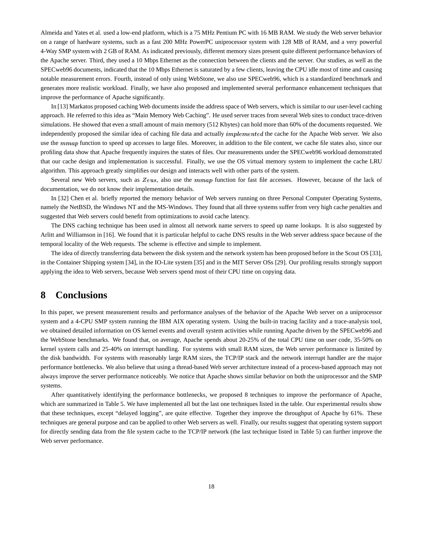Almeida and Yates et al. used a low-end platform, which is a 75 MHz Pentium PC with 16 MB RAM. We study the Web server behavior on a range of hardware systems, such as a fast 200 MHz PowerPC uniprocessor system with 128 MB of RAM, and a very powerful 4-Way SMP system with 2 GB of RAM. As indicated previously, different memory sizes present quite different performance behaviors of the Apache server. Third, they used a 10 Mbps Ethernet as the connection between the clients and the server. Our studies, as well as the SPECweb96 documents, indicated that the 10 Mbps Ethernet is saturated by a few clients, leaving the CPU idle most of time and causing notable measurement errors. Fourth, instead of only using WebStone, we also use SPECweb96, which is a standardized benchmark and generates more realistic workload. Finally, we have also proposed and implemented several performance enhancement techniques that improve the performance of Apache significantly.

In [13] Markatos proposed caching Web documents inside the address space of Web servers, which is similar to our user-level caching approach. He referred to this idea as "Main Memory Web Caching". He used server traces from several Web sites to conduct trace-driven simulations. He showed that even a small amount of main memory (512 Kbytes) can hold more than 60% of the documents requested. We independently proposed the similar idea of caching file data and actually implemented the cache for the Apache Web server. We also use the  $mmap$  function to speed up accesses to large files. Moreover, in addition to the file content, we cache file states also, since our profiling data show that Apache frequently inquires the states of files. Our measurements under the SPECweb96 workload demonstrated that our cache design and implementation is successful. Finally, we use the OS virtual memory system to implement the cache LRU algorithm. This approach greatly simplifies our design and interacts well with other parts of the system.

Several new Web servers, such as Zeus, also use the mmap function for fast file accesses. However, because of the lack of documentation, we do not know their implementation details.

In [32] Chen et al. briefly reported the memory behavior of Web servers running on three Personal Computer Operating Systems, namely the NetBSD, the Windows NT and the MS-Windows. They found that all three systems suffer from very high cache penalties and suggested that Web servers could benefit from optimizations to avoid cache latency.

The DNS caching technique has been used in almost all network name servers to speed up name lookups. It is also suggested by Arlitt and Williamson in [16]. We found that it is particular helpful to cache DNS results in the Web server address space because of the temporal locality of the Web requests. The scheme is effective and simple to implement.

The idea of directly transferring data between the disk system and the network system has been proposed before in the Scout OS [33], in the Container Shipping system [34], in the IO-Lite system [35] and in the MIT Server OSs [29]. Our profiling results strongly support applying the idea to Web servers, because Web servers spend most of their CPU time on copying data.

### **8 Conclusions**

In this paper, we present measurement results and performance analyses of the behavior of the Apache Web server on a uniprocessor system and a 4-CPU SMP system running the IBM AIX operating system. Using the built-in tracing facility and a trace-analysis tool, we obtained detailed information on OS kernel events and overall system activities while running Apache driven by the SPECweb96 and the WebStone benchmarks. We found that, on average, Apache spends about 20-25% of the total CPU time on user code, 35-50% on kernel system calls and 25-40% on interrupt handling. For systems with small RAM sizes, the Web server performance is limited by the disk bandwidth. For systems with reasonably large RAM sizes, the TCP/IP stack and the network interrupt handler are the major performance bottlenecks. We also believe that using a thread-based Web server architecture instead of a process-based approach may not always improve the server performance noticeably. We notice that Apache shows similar behavior on both the uniprocessor and the SMP systems.

After quantitatively identifying the performance bottlenecks, we proposed 8 techniques to improve the performance of Apache, which are summarized in Table 5. We have implemented all but the last one techniques listed in the table. Our experimental results show that these techniques, except "delayed logging", are quite effective. Together they improve the throughput of Apache by 61%. These techniques are general purpose and can be applied to other Web servers as well. Finally, our results suggest that operating system support for directly sending data from the file system cache to the TCP/IP network (the last technique listed in Table 5) can further improve the Web server performance.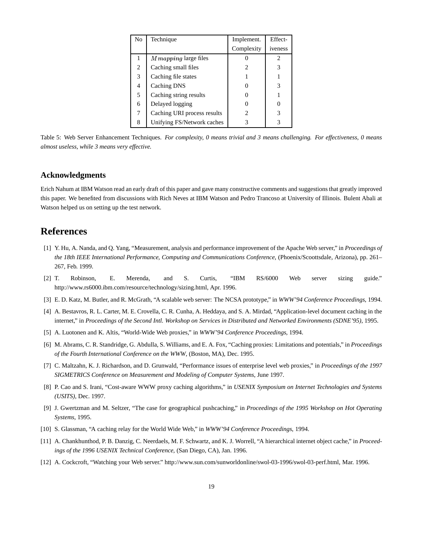| No | Technique                   | Implement.                  | Effect- |
|----|-----------------------------|-----------------------------|---------|
|    |                             | Complexity                  | iveness |
|    | <i>Mmapping</i> large files |                             | 2       |
| 2  | Caching small files         | $\mathcal{D}_{\mathcal{L}}$ | 3       |
| 3  | Caching file states         |                             |         |
| 4  | Caching DNS                 |                             |         |
| 5  | Caching string results      |                             |         |
| 6  | Delayed logging             |                             |         |
| 7  | Caching URI process results | 2                           |         |
| 8  | Unifying FS/Network caches  | 3                           |         |

Table 5: Web Server Enhancement Techniques. *For complexity, 0 means trivial and 3 means challenging. For effectiveness, 0 means almost useless, while 3 means very effective.*

#### **Acknowledgments**

Erich Nahum at IBM Watson read an early draft of this paper and gave many constructive comments and suggestionsthat greatly improved this paper. We benefited from discussions with Rich Neves at IBM Watson and Pedro Trancoso at University of Illinois. Bulent Abali at Watson helped us on setting up the test network.

## **References**

- [1] Y. Hu, A. Nanda, and Q. Yang, "Measurement, analysis and performance improvement of the Apache Web server," in *Proceedings of the 18th IEEE International Performance, Computing and Communications Conference*, (Phoenix/Scoottsdale, Arizona), pp. 261– 267, Feb. 1999.
- [2] T. Robinson, E. Merenda, and S. Curtis, "IBM RS/6000 Web server sizing guide." http://www.rs6000.ibm.com/resource/technology/sizing.html, Apr. 1996.
- [3] E. D. Katz, M. Butler, and R. McGrath, "A scalable web server: The NCSA prototype," in *WWW'94 Conference Proceedings*, 1994.
- [4] A. Bestavros, R. L. Carter, M. E. Crovella, C. R. Cunha, A. Heddaya, and S. A. Mirdad, "Application-level document caching in the internet," in *Proceedings of the Second Intl. Workshop on Services in Distributed and Networked Environments (SDNE'95)*, 1995.
- [5] A. Luotonen and K. Altis, "World-Wide Web proxies," in *WWW'94 Conference Proceedings*, 1994.
- [6] M. Abrams, C. R. Standridge, G. Abdulla, S. Williams, and E. A. Fox, "Caching proxies: Limitations and potentials," in *Proceedings of the Fourth International Conference on the WWW*, (Boston, MA), Dec. 1995.
- [7] C. Maltzahn, K. J. Richardson, and D. Grunwald, "Performance issues of enterprise level web proxies," in *Proceedings of the 1997 SIGMETRICS Conference on Measurement and Modeling of Computer Systems*, June 1997.
- [8] P. Cao and S. Irani, "Cost-aware WWW proxy caching algorithms," in *USENIX Symposium on Internet Technologies and Systems (USITS)*, Dec. 1997.
- [9] J. Gwertzman and M. Seltzer, "The case for geographical pushcaching," in *Proceedings of the 1995 Workshop on Hot Operating Systems*, 1995.
- [10] S. Glassman, "A caching relay for the World Wide Web," in *WWW'94 Conference Proceedings*, 1994.
- [11] A. Chankhunthod, P. B. Danzig, C. Neerdaels, M. F. Schwartz, and K. J. Worrell, "A hierarchical internet object cache," in *Proceedings of the 1996 USENIX Technical Conference*, (San Diego, CA), Jan. 1996.
- [12] A. Cockcroft, "Watching your Web server." http://www.sun.com/sunworldonline/swol-03-1996/swol-03-perf.html, Mar. 1996.